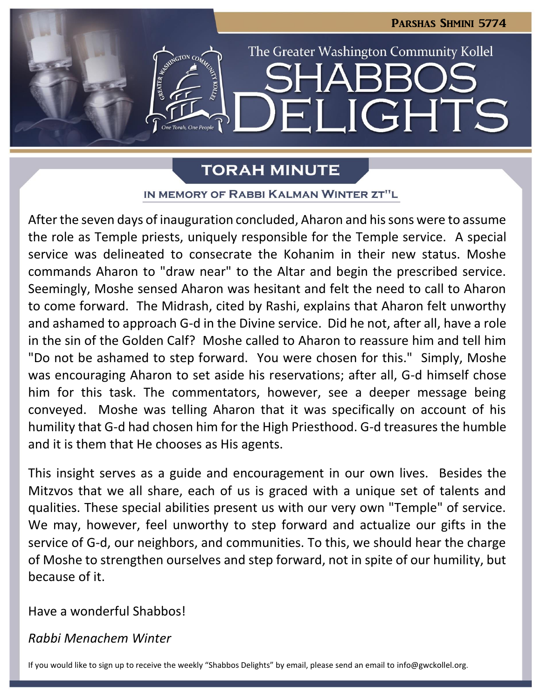

# **TORAH MINUTE**

### IN MEMORY OF RABBI KALMAN WINTER ZT"L

After the seven days of inauguration concluded, Aharon and his sons were to assume the role as Temple priests, uniquely responsible for the Temple service. A special service was delineated to consecrate the Kohanim in their new status. Moshe commands Aharon to "draw near" to the Altar and begin the prescribed service. Seemingly, Moshe sensed Aharon was hesitant and felt the need to call to Aharon to come forward. The Midrash, cited by Rashi, explains that Aharon felt unworthy and ashamed to approach G-d in the Divine service. Did he not, after all, have a role in the sin of the Golden Calf? Moshe called to Aharon to reassure him and tell him "Do not be ashamed to step forward. You were chosen for this." Simply, Moshe was encouraging Aharon to set aside his reservations; after all, G-d himself chose him for this task. The commentators, however, see a deeper message being conveyed. Moshe was telling Aharon that it was specifically on account of his humility that G-d had chosen him for the High Priesthood. G-d treasures the humble and it is them that He chooses as His agents.

This insight serves as a guide and encouragement in our own lives. Besides the Mitzvos that we all share, each of us is graced with a unique set of talents and qualities. These special abilities present us with our very own "Temple" of service. We may, however, feel unworthy to step forward and actualize our gifts in the service of G-d, our neighbors, and communities. To this, we should hear the charge of Moshe to strengthen ourselves and step forward, not in spite of our humility, but because of it.

Have a wonderful Shabbos!

# *Rabbi Menachem Winter*

If you would like to sign up to receive the weekly "Shabbos Delights" by email, please send an email to [info@gwckollel.org](mailto:info@gwckollel.org).